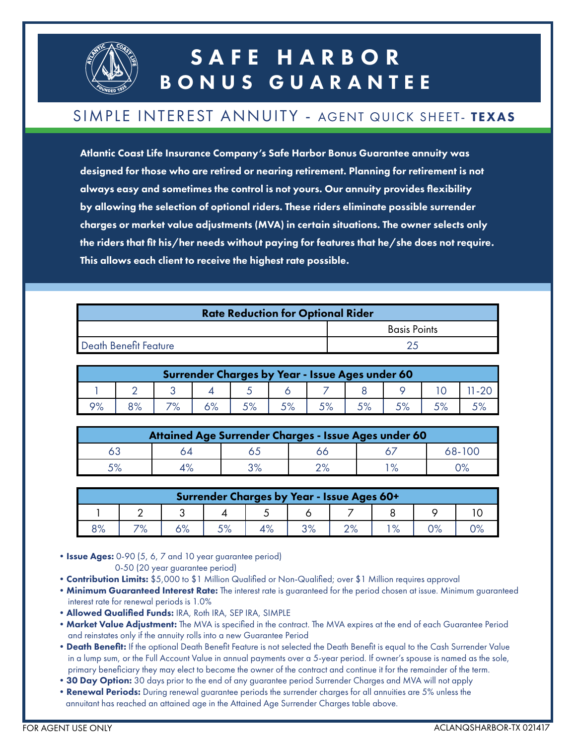

## SAFE HARBOR BONUS GUARANTEE

#### SIMPLE INTEREST ANNUITY - AGENT QUICK SHEET- TEXAS

Atlantic Coast Life Insurance Company's Safe Harbor Bonus Guarantee annuity was designed for those who are retired or nearing retirement. Planning for retirement is not always easy and sometimes the control is not yours. Our annuity provides flexibility by allowing the selection of optional riders. These riders eliminate possible surrender charges or market value adjustments (MVA) in certain situations. The owner selects only the riders that fit his/her needs without paying for features that he/she does not require. This allows each client to receive the highest rate possible.

| <b>Rate Reduction for Optional Rider</b> |                     |  |  |  |  |  |
|------------------------------------------|---------------------|--|--|--|--|--|
|                                          | <b>Basis Points</b> |  |  |  |  |  |
| Death Benefit Feature                    |                     |  |  |  |  |  |

| Surrender Charges by Year - Issue Ages under 60 |    |  |  |  |  |      |  |  |  |  |
|-------------------------------------------------|----|--|--|--|--|------|--|--|--|--|
|                                                 |    |  |  |  |  |      |  |  |  |  |
| റം                                              | 3% |  |  |  |  | r o/ |  |  |  |  |

|    |    |    | Attained Age Surrender Charges - Issue Ages under 60 |        |
|----|----|----|------------------------------------------------------|--------|
|    |    |    |                                                      | 68-100 |
| 5% | 3% | /a | $\mathbf{o}$                                         |        |

| Surrender Charges by Year - Issue Ages 60+ |     |  |                |  |          |          |      |      |  |
|--------------------------------------------|-----|--|----------------|--|----------|----------|------|------|--|
|                                            |     |  |                |  |          |          |      |      |  |
| 3%                                         | 70/ |  | E <sub>O</sub> |  | $\Omega$ | $\Omega$ | 1 O/ | / /o |  |

• Issue Ages: 0-90 (5, 6, 7 and 10 year guarantee period) 0-50 (20 year guarantee period)

- Contribution Limits: \$5,000 to \$1 Million Qualified or Non-Qualified; over \$1 Million requires approval
- **Minimum Guaranteed Interest Rate:** The interest rate is guaranteed for the period chosen at issue. Minimum guaranteed interest rate for renewal periods is 1.0%
- •Allowed Qualified Funds: IRA, Roth IRA, SEP IRA, SIMPLE
- Market Value Adjustment: The MVA is specified in the contract. The MVA expires at the end of each Guarantee Period and reinstates only if the annuity rolls into a new Guarantee Period
- Death Benefit: If the optional Death Benefit Feature is not selected the Death Benefit is equal to the Cash Surrender Value in a lump sum, or the Full Account Value in annual payments over a 5-year period. If owner's spouse is named as the sole, primary beneficiary they may elect to become the owner of the contract and continue it for the remainder of the term.
- 30 Day Option: 30 days prior to the end of any guarantee period Surrender Charges and MVA will not apply
- Renewal Periods: During renewal guarantee periods the surrender charges for all annuities are 5% unless the annuitant has reached an attained age in the Attained Age Surrender Charges table above.